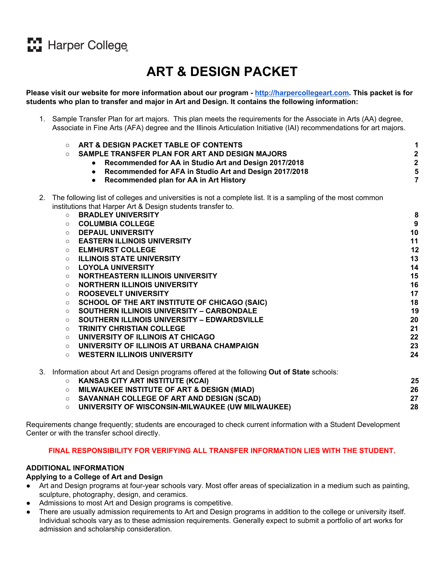# **M** Harper College

# **ART & DESIGN PACKET**

<span id="page-0-0"></span>Please visit our website for more information about our program - [http://harpercollegeart.com](http://harpercollegeart.com/). This packet is for **students who plan to transfer and major in Art and Design. It contains the following information:**

1. Sample Transfer Plan for art majors. This plan meets the requirements for the Associate in Arts (AA) degree, Associate in Fine Arts (AFA) degree and the Illinois Articulation Initiative (IAI) recommendations for art majors.

|    | $\circ$<br>$\circ$ | ART & DESIGN PACKET TABLE OF CONTENTS<br>SAMPLE TRANSFER PLAN FOR ART AND DESIGN MAJORS<br>Recommended for AA in Studio Art and Design 2017/2018<br>$\bullet$<br>Recommended for AFA in Studio Art and Design 2017/2018<br>$\bullet$<br>Recommended plan for AA in Art History<br>$\bullet$ | 1<br>$\frac{2}{2}$<br>5<br>$\overline{7}$ |
|----|--------------------|---------------------------------------------------------------------------------------------------------------------------------------------------------------------------------------------------------------------------------------------------------------------------------------------|-------------------------------------------|
| 2. |                    | The following list of colleges and universities is not a complete list. It is a sampling of the most common                                                                                                                                                                                 |                                           |
|    |                    | institutions that Harper Art & Design students transfer to.                                                                                                                                                                                                                                 |                                           |
|    | $\circ$            | <b>BRADLEY UNIVERSITY</b>                                                                                                                                                                                                                                                                   | 8                                         |
|    | $\circ$            | <b>COLUMBIA COLLEGE</b>                                                                                                                                                                                                                                                                     | $\boldsymbol{9}$                          |
|    | $\circ$            | <b>DEPAUL UNIVERSITY</b>                                                                                                                                                                                                                                                                    | 10                                        |
|    | $\circ$            | <b>EASTERN ILLINOIS UNIVERSITY</b>                                                                                                                                                                                                                                                          | 11                                        |
|    | $\circ$            | <b>ELMHURST COLLEGE</b>                                                                                                                                                                                                                                                                     | 12                                        |
|    | $\circ$            | <b>ILLINOIS STATE UNIVERSITY</b>                                                                                                                                                                                                                                                            | 13                                        |
|    | $\circ$            | <b>LOYOLA UNIVERSITY</b>                                                                                                                                                                                                                                                                    | 14                                        |
|    | $\circ$            | NORTHEASTERN ILLINOIS UNIVERSITY                                                                                                                                                                                                                                                            | 15                                        |
|    | $\circ$            | <b>NORTHERN ILLINOIS UNIVERSITY</b><br><b>ROOSEVELT UNIVERSITY</b>                                                                                                                                                                                                                          | 16<br>17                                  |
|    | $\circ$            | SCHOOL OF THE ART INSTITUTE OF CHICAGO (SAIC)                                                                                                                                                                                                                                               | 18                                        |
|    | $\circ$<br>$\circ$ | SOUTHERN ILLINOIS UNIVERSITY - CARBONDALE                                                                                                                                                                                                                                                   | 19                                        |
|    | $\circ$            | SOUTHERN ILLINOIS UNIVERSITY - EDWARDSVILLE                                                                                                                                                                                                                                                 | 20                                        |
|    | $\circ$            | <b>TRINITY CHRISTIAN COLLEGE</b>                                                                                                                                                                                                                                                            | 21                                        |
|    | $\circ$            | UNIVERSITY OF ILLINOIS AT CHICAGO                                                                                                                                                                                                                                                           | 22                                        |
|    | $\circ$            | UNIVERSITY OF ILLINOIS AT URBANA CHAMPAIGN                                                                                                                                                                                                                                                  | 23                                        |
|    | $\circ$            | <b>WESTERN ILLINOIS UNIVERSITY</b>                                                                                                                                                                                                                                                          | 24                                        |
| 3. |                    | Information about Art and Design programs offered at the following Out of State schools:                                                                                                                                                                                                    |                                           |
|    |                    | <b>O KANSAS CITY ART INSTITUTE (KCAI)</b>                                                                                                                                                                                                                                                   | 25                                        |
|    |                    | O MILWAUKEE INSTITUTE OF ART & DESIGN (MIAD)                                                                                                                                                                                                                                                | 26                                        |
|    |                    | <b>O SAVANNAH COLLEGE OF ART AND DESIGN (SCAD)</b>                                                                                                                                                                                                                                          | 27                                        |
|    | $\circ$            | UNIVERSITY OF WISCONSIN-MILWAUKEE (UW MILWAUKEE)                                                                                                                                                                                                                                            | 28                                        |
|    |                    |                                                                                                                                                                                                                                                                                             |                                           |

Requirements change frequently; students are encouraged to check current information with a Student Development Center or with the transfer school directly.

# **FINAL RESPONSIBILITY FOR VERIFYING ALL TRANSFER INFORMATION LIES WITH THE STUDENT.**

# **ADDITIONAL INFORMATION**

#### **Applying to a College of Art and Design**

- Art and Design programs at four-year schools vary. Most offer areas of specialization in a medium such as painting, sculpture, photography, design, and ceramics.
- Admissions to most Art and Design programs is competitive.
- There are usually admission requirements to Art and Design programs in addition to the college or university itself. Individual schools vary as to these admission requirements. Generally expect to submit a portfolio of art works for admission and scholarship consideration.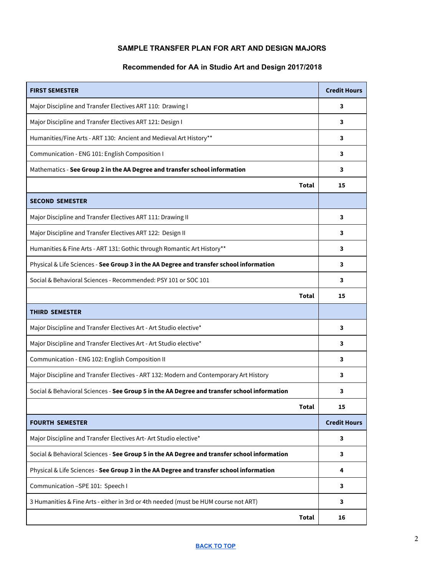# **SAMPLE TRANSFER PLAN FOR ART AND DESIGN MAJORS**

# **Recommended for AA in Studio Art and Design 2017/2018**

<span id="page-1-1"></span><span id="page-1-0"></span>

| <b>FIRST SEMESTER</b>                                                                       |              | <b>Credit Hours</b> |
|---------------------------------------------------------------------------------------------|--------------|---------------------|
| Major Discipline and Transfer Electives ART 110: Drawing I                                  |              | 3                   |
| Major Discipline and Transfer Electives ART 121: Design I                                   |              | 3                   |
| Humanities/Fine Arts - ART 130: Ancient and Medieval Art History**                          |              | 3                   |
| Communication - ENG 101: English Composition I                                              |              | 3                   |
| Mathematics - See Group 2 in the AA Degree and transfer school information                  |              | 3                   |
|                                                                                             | <b>Total</b> | 15                  |
| <b>SECOND SEMESTER</b>                                                                      |              |                     |
| Major Discipline and Transfer Electives ART 111: Drawing II                                 |              | 3                   |
| Major Discipline and Transfer Electives ART 122: Design II                                  |              | 3                   |
| Humanities & Fine Arts - ART 131: Gothic through Romantic Art History**                     |              | 3                   |
| Physical & Life Sciences - See Group 3 in the AA Degree and transfer school information     |              | 3                   |
| Social & Behavioral Sciences - Recommended: PSY 101 or SOC 101                              |              | 3                   |
|                                                                                             | Total        | 15                  |
| <b>THIRD SEMESTER</b>                                                                       |              |                     |
| Major Discipline and Transfer Electives Art - Art Studio elective*                          |              | 3                   |
| Major Discipline and Transfer Electives Art - Art Studio elective*                          |              | 3                   |
| Communication - ENG 102: English Composition II                                             |              | 3                   |
| Major Discipline and Transfer Electives - ART 132: Modern and Contemporary Art History      |              | 3                   |
| Social & Behavioral Sciences - See Group 5 in the AA Degree and transfer school information |              | 3                   |
|                                                                                             | Total        | 15                  |
| <b>FOURTH SEMESTER</b>                                                                      |              | <b>Credit Hours</b> |
| Major Discipline and Transfer Electives Art-Art Studio elective*                            |              | 3                   |
| Social & Behavioral Sciences - See Group 5 in the AA Degree and transfer school information |              | 3                   |
| Physical & Life Sciences - See Group 3 in the AA Degree and transfer school information     |              | 4                   |
| Communication - SPE 101: Speech I                                                           |              | 3                   |
| 3 Humanities & Fine Arts - either in 3rd or 4th needed (must be HUM course not ART)         |              | 3                   |
|                                                                                             | <b>Total</b> | 16                  |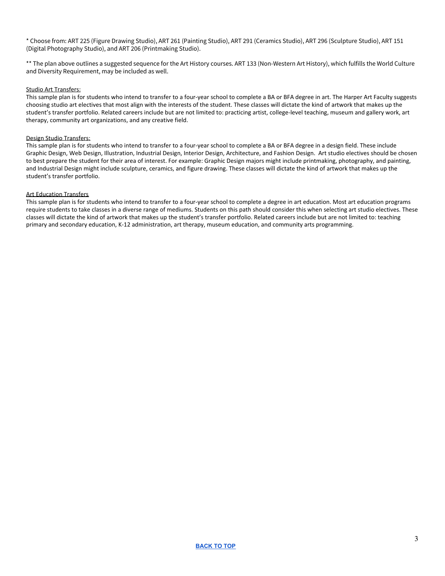\* Choose from: ART 225 (Figure Drawing Studio), ART 261 (Painting Studio), ART 291 (Ceramics Studio), ART 296 (Sculpture Studio), ART 151 (Digital Photography Studio), and ART 206 (Printmaking Studio).

\*\* The plan above outlines a suggested sequence for the Art History courses. ART 133 (Non-Western Art History), which fulfills the World Culture and Diversity Requirement, may be included as well.

#### Studio Art Transfers:

This sample plan is for students who intend to transfer to a four-year school to complete a BA or BFA degree in art. The Harper Art Faculty suggests choosing studio art electives that most align with the interests of the student. These classes will dictate the kind of artwork that makes up the student's transfer portfolio. Related careers include but are not limited to: practicing artist, college-level teaching, museum and gallery work, art therapy, community art organizations, and any creative field.

#### Design Studio Transfers:

This sample plan is for students who intend to transfer to a four-year school to complete a BA or BFA degree in a design field. These include Graphic Design, Web Design, Illustration, Industrial Design, Interior Design, Architecture, and Fashion Design. Art studio electives should be chosen to best prepare the student for their area of interest. For example: Graphic Design majors might include printmaking, photography, and painting, and Industrial Design might include sculpture, ceramics, and figure drawing. These classes will dictate the kind of artwork that makes up the student's transfer portfolio.

#### Art Education Transfers

This sample plan is for students who intend to transfer to a four-year school to complete a degree in art education. Most art education programs require students to take classes in a diverse range of mediums. Students on this path should consider this when selecting art studio electives. These classes will dictate the kind of artwork that makes up the student's transfer portfolio. Related careers include but are not limited to: teaching primary and secondary education, K-12 administration, art therapy, museum education, and community arts programming.

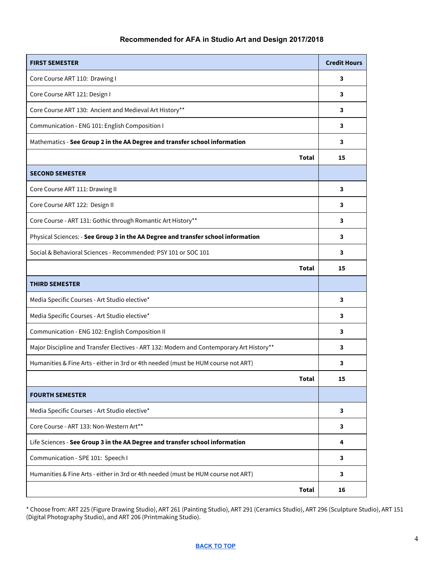# **Recommended for AFA in Studio Art and Design 2017/2018**

<span id="page-3-0"></span>

| <b>FIRST SEMESTER</b>                                                                    | <b>Credit Hours</b>     |  |
|------------------------------------------------------------------------------------------|-------------------------|--|
| Core Course ART 110: Drawing I                                                           |                         |  |
| Core Course ART 121: Design I                                                            |                         |  |
| Core Course ART 130: Ancient and Medieval Art History**                                  | 3                       |  |
| Communication - ENG 101: English Composition I                                           |                         |  |
| Mathematics - See Group 2 in the AA Degree and transfer school information               |                         |  |
| <b>Total</b>                                                                             | 15                      |  |
| <b>SECOND SEMESTER</b>                                                                   |                         |  |
| Core Course ART 111: Drawing II                                                          | 3                       |  |
| Core Course ART 122: Design II                                                           | 3                       |  |
| Core Course - ART 131: Gothic through Romantic Art History**                             | 3                       |  |
| Physical Sciences: - See Group 3 in the AA Degree and transfer school information        | 3                       |  |
| Social & Behavioral Sciences - Recommended: PSY 101 or SOC 101                           | 3                       |  |
| Total                                                                                    | 15                      |  |
| <b>THIRD SEMESTER</b>                                                                    |                         |  |
| Media Specific Courses - Art Studio elective*                                            | 3                       |  |
| Media Specific Courses - Art Studio elective*                                            |                         |  |
| Communication - ENG 102: English Composition II                                          |                         |  |
| Major Discipline and Transfer Electives - ART 132: Modern and Contemporary Art History** |                         |  |
| Humanities & Fine Arts - either in 3rd or 4th needed (must be HUM course not ART)        | 3                       |  |
| Total                                                                                    | 15                      |  |
| <b>FOURTH SEMESTER</b>                                                                   |                         |  |
| Media Specific Courses - Art Studio elective*                                            | $\overline{\mathbf{3}}$ |  |
| Core Course - ART 133: Non-Western Art**                                                 |                         |  |
| Life Sciences - See Group 3 in the AA Degree and transfer school information             |                         |  |
| Communication - SPE 101: Speech I                                                        |                         |  |
| Humanities & Fine Arts - either in 3rd or 4th needed (must be HUM course not ART)        |                         |  |
| Total                                                                                    | 16                      |  |

\* Choose from: ART 225 (Figure Drawing Studio), ART 261 (Painting Studio), ART 291 (Ceramics Studio), ART 296 (Sculpture Studio), ART 151 (Digital Photography Studio), and ART 206 (Printmaking Studio).

#### **[BACK](#page-0-0) TO TOP**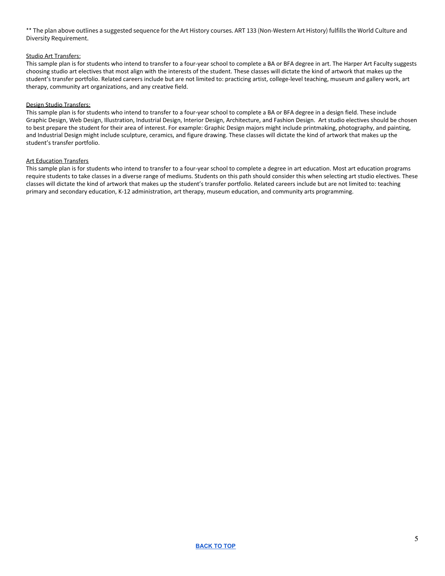\*\* The plan above outlines a suggested sequence for the Art History courses. ART 133 (Non-Western Art History) fulfills the World Culture and Diversity Requirement.

#### Studio Art Transfers:

This sample plan is for students who intend to transfer to a four-year school to complete a BA or BFA degree in art. The Harper Art Faculty suggests choosing studio art electives that most align with the interests of the student. These classes will dictate the kind of artwork that makes up the student's transfer portfolio. Related careers include but are not limited to: practicing artist, college-level teaching, museum and gallery work, art therapy, community art organizations, and any creative field.

#### Design Studio Transfers:

This sample plan is for students who intend to transfer to a four-year school to complete a BA or BFA degree in a design field. These include Graphic Design, Web Design, Illustration, Industrial Design, Interior Design, Architecture, and Fashion Design. Art studio electives should be chosen to best prepare the student for their area of interest. For example: Graphic Design majors might include printmaking, photography, and painting, and Industrial Design might include sculpture, ceramics, and figure drawing. These classes will dictate the kind of artwork that makes up the student's transfer portfolio.

#### Art Education Transfers

This sample plan is for students who intend to transfer to a four-year school to complete a degree in art education. Most art education programs require students to take classes in a diverse range of mediums. Students on this path should consider this when selecting art studio electives. These classes will dictate the kind of artwork that makes up the student's transfer portfolio. Related careers include but are not limited to: teaching primary and secondary education, K-12 administration, art therapy, museum education, and community arts programming.

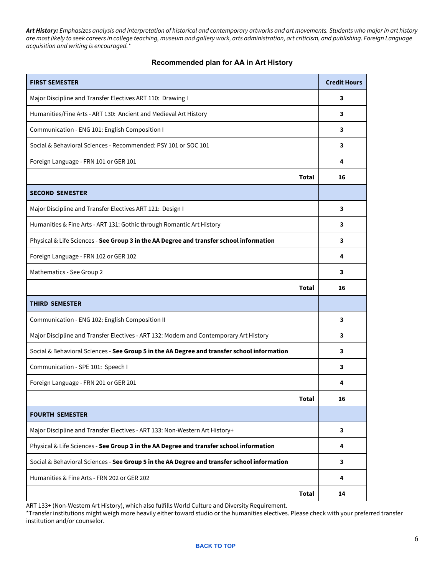Art History: Emphasizes analysis and interpretation of historical and contemporary artworks and art movements. Students who major in art history are most likely to seek careers in college teaching, museum and gallery work, arts administration, art criticism, and publishing. Foreign Language *acquisition and writing is encouraged.\**

## **Recommended plan for AA in Art History**

<span id="page-5-0"></span>

| <b>FIRST SEMESTER</b>                                                                       | <b>Credit Hours</b> |  |
|---------------------------------------------------------------------------------------------|---------------------|--|
| Major Discipline and Transfer Electives ART 110: Drawing I                                  |                     |  |
| Humanities/Fine Arts - ART 130: Ancient and Medieval Art History                            |                     |  |
| Communication - ENG 101: English Composition I                                              |                     |  |
| Social & Behavioral Sciences - Recommended: PSY 101 or SOC 101                              |                     |  |
| Foreign Language - FRN 101 or GER 101                                                       | 4                   |  |
| Total                                                                                       | 16                  |  |
| <b>SECOND SEMESTER</b>                                                                      |                     |  |
| Major Discipline and Transfer Electives ART 121: Design I                                   | 3                   |  |
| Humanities & Fine Arts - ART 131: Gothic through Romantic Art History                       |                     |  |
| Physical & Life Sciences - See Group 3 in the AA Degree and transfer school information     |                     |  |
| Foreign Language - FRN 102 or GER 102                                                       | 4                   |  |
| Mathematics - See Group 2                                                                   | 3                   |  |
| Total                                                                                       | 16                  |  |
| <b>THIRD SEMESTER</b>                                                                       |                     |  |
| Communication - ENG 102: English Composition II                                             | 3                   |  |
| Major Discipline and Transfer Electives - ART 132: Modern and Contemporary Art History      | 3                   |  |
| Social & Behavioral Sciences - See Group 5 in the AA Degree and transfer school information |                     |  |
| Communication - SPE 101: Speech I                                                           |                     |  |
| Foreign Language - FRN 201 or GER 201                                                       | 4                   |  |
| Total                                                                                       | 16                  |  |
| <b>FOURTH SEMESTER</b>                                                                      |                     |  |
| Major Discipline and Transfer Electives - ART 133: Non-Western Art History+                 | 3                   |  |
| Physical & Life Sciences - See Group 3 in the AA Degree and transfer school information     |                     |  |
| Social & Behavioral Sciences - See Group 5 in the AA Degree and transfer school information |                     |  |
| Humanities & Fine Arts - FRN 202 or GER 202                                                 |                     |  |
| Total                                                                                       | 14                  |  |

ART 133+ (Non-Western Art History), which also fulfills World Culture and Diversity Requirement.

\*Transfer institutions might weigh more heavily either toward studio or the humanities electives. Please check with your preferred transfer institution and/or counselor.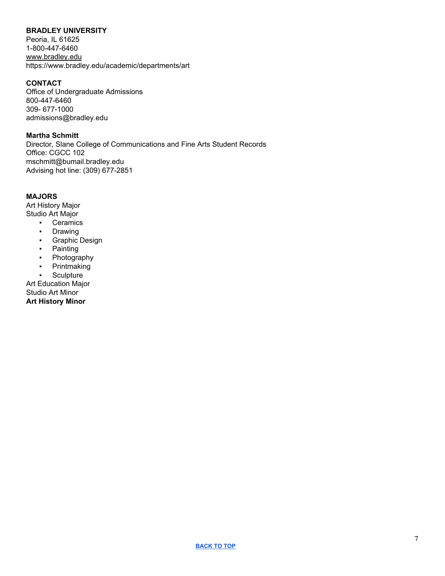## <span id="page-6-0"></span>**BRADLEY UNIVERSITY**

Peoria, IL 61625 1-800-447-6460 [www.bradley.edu](http://admissions.bradley.edu/) https://www.bradley.edu/academic/departments/art

# **CONTACT**

Office of Undergraduate Admissions 800-447-6460 309- 677-1000 admissions@bradley.edu

**Martha Schmitt** Director, Slane College of Communications and Fine Arts Student Records Office: CGCC 102 mschmitt@bumail.bradley.edu Advising hot line: (309) 677-2851

## **MAJORS**

Art [History](https://www.bradley.edu/academic/departments/art/programs/hismajor/index.dot) Major [Studio](https://www.bradley.edu/academic/departments/art/programs/studiomajor/index.dot) Art Major

- [Ceramics](https://www.bradley.edu/academic/departments/art/programs/ceramics/index.dot)
- [Drawing](https://www.bradley.edu/academic/departments/art/programs/drawing/index.dot)
- [Graphic](https://www.bradley.edu/academic/departments/art/programs/graphic/index.dot) Design
- **[Painting](https://www.bradley.edu/academic/departments/art/programs/painting/index.dot)**
- [Photography](https://www.bradley.edu/academic/departments/art/programs/photography/index.dot)
- [Printmaking](https://www.bradley.edu/academic/departments/art/programs/printmaking/index.dot)
- [Sculpture](https://www.bradley.edu/academic/departments/art/programs/sculpture/index.dot)

Art [Education](https://www.bradley.edu/academic/departments/art/programs/education/index.dot) Major [Studio](https://www.bradley.edu/academic/departments/art/programs/studiominor/index.dot) Art Minor **Art [History](https://www.bradley.edu/academic/departments/art/programs/hisminor/index.dot) Minor**

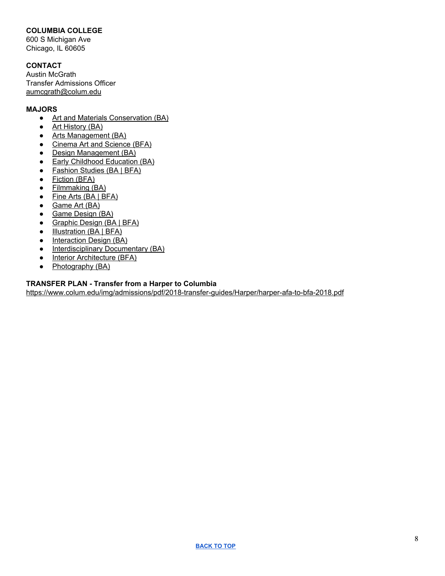# <span id="page-7-0"></span>**COLUMBIA COLLEGE**

600 S Michigan Ave Chicago, IL 60605

# **CONTACT**

Austin McGrath Transfer Admissions Officer [aumcgrath@colum.edu](mailto:aumcgrath@colum.edu)

# **MAJORS**

- Art and Materials [Conservation](https://www.colum.edu/academics/programs/art-and-materials.html) (BA)
- Art [History](https://www.colum.edu/academics/programs/art-history.html) (BA)
- Arts [Management](https://www.colum.edu/academics/programs/arts-management.html) (BA)
- Cinema Art and [Science](https://www.colum.edu/academics/programs/cinema-art-and-science.html) (BFA[\)](https://www.colum.edu/academics/programs/deaf-studies.html)
- Design [Management](https://www.colum.edu/academics/programs/design-management.html) (BA)
- Early [Childhood](https://www.colum.edu/academics/programs/education.html) Education (BA)
- [Fashion](https://www.colum.edu/academics/programs/fashion-studies.html) Studies (BA | BFA)
- [Fiction](https://www.colum.edu/academics/programs/fiction-bfa.html) (BFA)
- [Filmmaking](https://www.colum.edu/academics/programs/filmmaking.html) (BA)
- Fine Arts (BA | [BFA\)](https://www.colum.edu/academics/programs/fine-arts.html)
- [Game](https://www.colum.edu/academics/programs/game-art.html) Art (BA)
- Game [Design](https://www.colum.edu/academics/programs/game-design.html) (BA)
- [Graphic](https://www.colum.edu/academics/programs/graphic-design.html) Design (BA | BFA)
- [Illustration](https://www.colum.edu/academics/programs/illustration.html) (BA | BFA)
- [Interaction](https://www.colum.edu/academics/programs/interaction-design.html) Design (BA)
- [Interdisciplinary](https://www.colum.edu/academics/programs/interdisciplinary-documentary.html) Documentary (BA)
- Interior [Architecture](https://www.colum.edu/academics/programs/interior-architecture-bfa.html) (BFA)
- [Photography](https://www.colum.edu/academics/programs/photography-ba.html) (BA)

## **TRANSFER PLAN - Transfer from a Harper to Columbia**

<https://www.colum.edu/img/admissions/pdf/2018-transfer-guides/Harper/harper-afa-to-bfa-2018.pdf>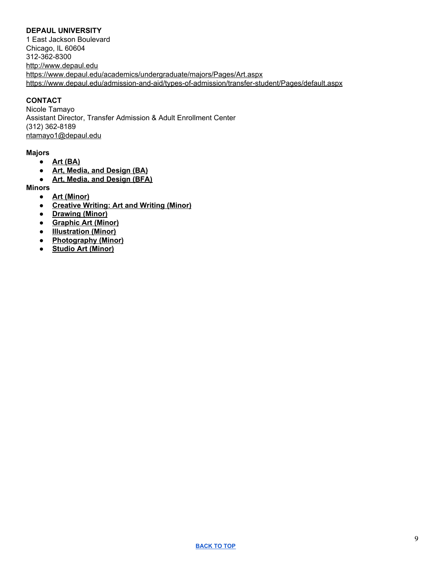# <span id="page-8-0"></span>**DEPAUL UNIVERSITY**

1 East Jackson Boulevard Chicago, IL 60604 312-362-8300 [http://www.depaul.edu](http://www.depaul.edu/) <https://www.depaul.edu/academics/undergraduate/majors/Pages/Art.aspx> <https://www.depaul.edu/admission-and-aid/types-of-admission/transfer-student/Pages/default.aspx>

# **CONTACT**

Nicole Tamayo Assistant Director, Transfer Admission & Adult Enrollment Center (312) 362-8189 [ntamayo1@depaul.edu](mailto:ntamayo1@depaul.edu)

#### **Majors**

- **● Art [\(BA\)](https://las.depaul.edu/academics/art-media-and-design/undergraduate/art-ba/Pages/default.aspx)**
- **● Art, Media, and [Design](https://las.depaul.edu/academics/art-media-and-design/undergraduate/art-media-design/Pages/default.aspx) (BA)**
- **● Art, Media, and [Design](https://las.depaul.edu/academics/art-media-and-design/undergraduate/art-media-design-bfa/Pages/default.aspx) (BFA)**

**Minors**

- **● Art [\(Minor\)](https://las.depaul.edu/academics/art-media-and-design/undergraduate/Pages/art-minor.aspx)**
- **● [Creative](https://las.depaul.edu/academics/art-media-and-design/undergraduate/Pages/creative-practice-minor.aspx) Writing: Art and Writing (Minor)**
- **● [Drawing](https://las.depaul.edu/academics/art-media-and-design/undergraduate/Pages/drawing-minor.aspx) (Minor)**
- **● [Graphic](https://las.depaul.edu/academics/art-media-and-design/undergraduate/Pages/graphic-art-minor.aspx) Art (Minor)**
- **● [Illustration](https://las.depaul.edu/academics/art-media-and-design/undergraduate/Pages/illustration-minor.aspx) (Minor)**
- **● [Photography](https://las.depaul.edu/academics/art-media-and-design/undergraduate/Pages/photography-minor.aspx) (Minor)**
- **● Studio Art [\(Minor\)](https://las.depaul.edu/academics/art-media-and-design/undergraduate/Pages/studio-art-minor.aspx)**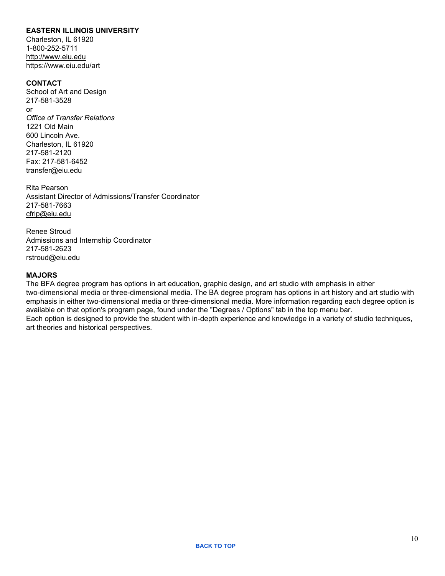## <span id="page-9-0"></span>**EASTERN ILLINOIS UNIVERSITY**

Charleston, IL 61920 1-800-252-5711 http://www.eiu.edu https://www.eiu.edu/art

#### **CONTACT**

School of Art and Design 217-581-3528 or *Office of Transfer Relations* 1221 Old Main 600 Lincoln Ave. Charleston, IL 61920 217-581-2120 Fax: 217-581-6452 transfer@eiu.edu

Rita Pearson Assistant Director of Admissions/Transfer Coordinator 217-581-7663 cfrip@eiu.edu

Renee Stroud Admissions and Internship Coordinator 217-581-2623 rstroud@eiu.edu

#### **MAJORS**

The BFA degree program has options in art education, graphic design, and art studio with emphasis in either two-dimensional media or three-dimensional media. The BA degree program has options in art history and art studio with emphasis in either two-dimensional media or three-dimensional media. More information regarding each degree option is available on that option's program page, found under the "Degrees / Options" tab in the top menu bar. Each option is designed to provide the student with in-depth experience and knowledge in a variety of studio techniques, art theories and historical perspectives.

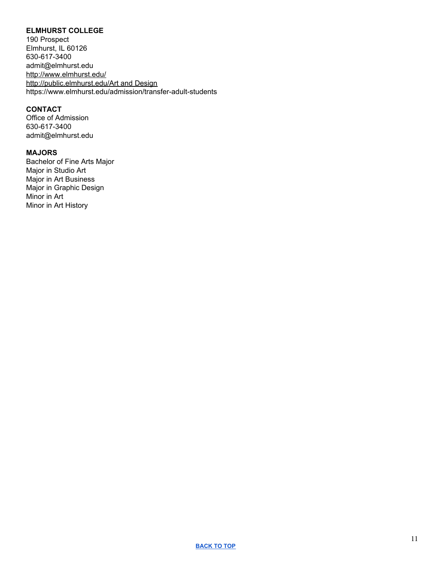# <span id="page-10-0"></span>**ELMHURST COLLEGE**

190 Prospect Elmhurst, IL 60126 630-617-3400 admit@elmhurst.edu <http://www.elmhurst.edu/> [http://public.elmhurst.edu/Art](http://public.elmhurst.edu/business) and Design https://www.elmhurst.edu/admission/transfer-adult-students

#### **CONTACT**

Office of Admission 630-617-3400 admit@elmhurst.edu

# **MAJORS**

Bachelor of Fine Arts Major Major in Studio Art Major in Art Business Major in Graphic Design Minor in Art Minor in Art History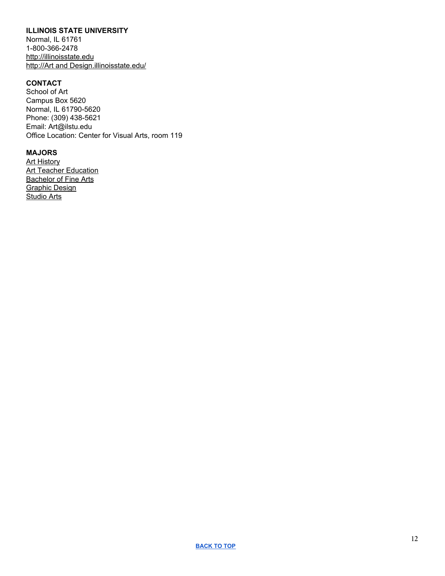## <span id="page-11-0"></span>**ILLINOIS STATE UNIVERSITY**

Normal, IL 61761 1-800-366-2478 [http://illinoisstate.edu](http://illinoisstate.edu/) http://Art and [Design.illinoisstate.edu/](http://business.illinoisstate.edu/)

# **CONTACT**

School of Art Campus Box 5620 Normal, IL 61790-5620 Phone: (309) 438-5621 Email: Art@ilstu.edu Office Location: [Center](http://maps.illinoisstate.edu/locations/visual/) for Visual Arts, room 119

# **MAJORS**

**Art [History](https://illinoisstate.edu/academics/art-history) Art Teacher [Education](https://illinoisstate.edu/academics/art-teacher-education)** [Bachelor](https://illinoisstate.edu/academics/bachelor-fine-arts) of Fine Arts [Graphic](https://illinoisstate.edu/academics/graphic-design) Design [Studio](https://illinoisstate.edu/academics/art-studio-arts) Arts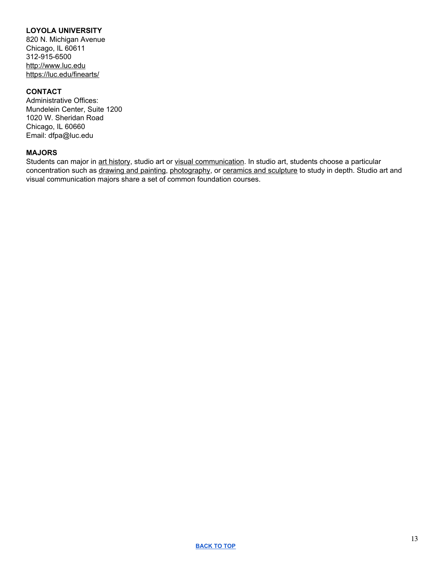# <span id="page-12-0"></span>**LOYOLA UNIVERSITY**

820 N. Michigan Avenue Chicago, IL 60611 312-915-6500 [http://www.luc.edu](http://www.luc.edu/) <https://luc.edu/finearts/>

#### **CONTACT**

Administrative Offices: Mundelein Center, Suite 1200 1020 W. Sheridan Road Chicago, IL 60660 Email: dfpa@luc.edu

## **MAJORS**

Students can major in art [history](http://www.luc.edu/finearts/academics/majorinarthistory/), studio art or visual [communication](http://www.luc.edu/finearts/academics/majorinvisualcommunication/). In studio art, students choose a particular concentration such as [drawing](http://www.luc.edu/finearts/academics/majorindrawingandpainting/) and painting, [photography,](http://www.luc.edu/finearts/academics/majorinphotography/) or ceramics and [sculpture](http://www.luc.edu/finearts/academics/majorinceramicsandsculpture/) to study in depth. Studio art and visual communication majors share a set of common foundation courses.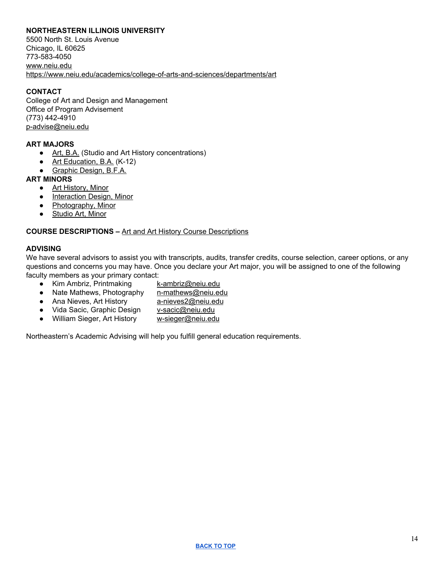## <span id="page-13-0"></span>**NORTHEASTERN ILLINOIS UNIVERSITY**

5500 North St. Louis Avenue Chicago, IL 60625 773-583-4050 [www.neiu.edu](http://www.neiu.edu/) <https://www.neiu.edu/academics/college-of-arts-and-sciences/departments/art>

# **CONTACT**

College of Art and Design and Management Office of Program Advisement (773) 442-4910 [p-advise@neiu.edu](mailto:p-advise@neiu.edu)

#### **ART MAJORS**

- Art, [B.A.](https://www.neiu.edu/programs/art-ba) (Studio and Art History concentrations)
- Art [Education,](https://www.neiu.edu/programs/art-education-ba) B.A. (K-12)
- [Graphic](https://www.neiu.edu/programs/graphic-design-bfa) Design, B.F.A.

#### **ART MINORS**

- Art [History,](https://www.neiu.edu/programs/art-history-minor) Minor
- [Interaction](https://www.neiu.edu/programs/interaction-design-minor) Design, Minor
- [Photography,](https://www.neiu.edu/programs/photography-minor) Minor
- [Studio](https://www.neiu.edu/programs/studio-art-minor) Art, Minor

#### **COURSE DESCRIPTIONS –** Art and Art History Course [Descriptions](http://catalog.neiu.edu/arts-sciences/art/#coursestext)

#### **ADVISING**

We have several advisors to assist you with transcripts, audits, transfer credits, course selection, career options, or any questions and concerns you may have. Once you declare your Art major, you will be assigned to one of the following faculty members as your primary contact:

- Kim Ambriz, Printmaking [k-ambriz@neiu.edu](mailto:k-ambriz@neiu.edu)
- Nate Mathews, Photography [n-mathews@neiu.edu](mailto:n-mathews@neiu.edu)
- Ana Nieves, Art History [a-nieves2@neiu.edu](mailto:a-nieves2@neiu.edu)
- Vida Sacic, Graphic Design [v-sacic@neiu.edu](mailto:v-sacic@neiu.edu)
- William Sieger, Art History [w-sieger@neiu.edu](mailto:w-sieger@neiu.edu)

Northeastern's Academic Advising will help you fulfill general education requirements.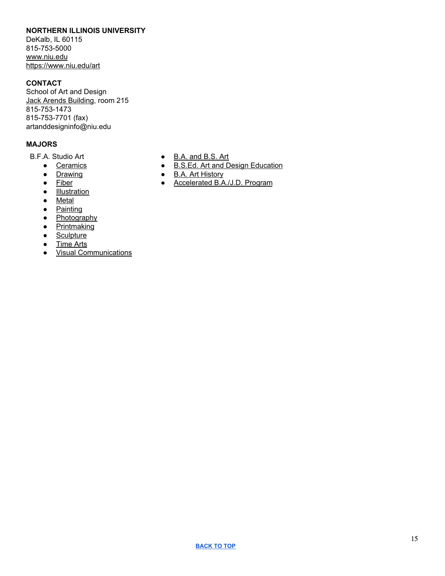#### <span id="page-14-0"></span>**NORTHERN ILLINOIS UNIVERSITY**

DeKalb, IL 60115 815-753-5000 [www.niu.edu](http://www.niu.edu/) [https://www.niu.edu/art](https://www.niu.edu/art/)

## **CONTACT**

School of Art and Design Jack Arends [Building](https://map.concept3d.com/?id=249&mrkIid=73816#!m/73816), room 215 815-753-1473 815-753-7701 (fax) artanddesigninfo@niu.edu

## **MAJORS**

B.F.A. Studio Art

- [Ceramics](https://www.niu.edu/art/undergraduate-programs/bfa-studio-art/ceramics.shtml)
- [Drawing](https://www.niu.edu/art/undergraduate-programs/bfa-studio-art/drawing.shtml)
- [Fiber](https://www.niu.edu/art/undergraduate-programs/bfa-studio-art/fiber.shtml)
- [Illustration](https://www.niu.edu/art/undergraduate-programs/bfa-studio-art/illustration.shtml)
- [Metal](https://www.niu.edu/art/undergraduate-programs/bfa-studio-art/metal.shtml)
- [Painting](https://www.niu.edu/art/undergraduate-programs/bfa-studio-art/painting.shtml)
- [Photography](https://www.niu.edu/art/undergraduate-programs/bfa-studio-art/photography.shtml)
- [Printmaking](https://www.niu.edu/art/undergraduate-programs/bfa-studio-art/printmaking.shtml)
- [Sculpture](https://www.niu.edu/art/undergraduate-programs/bfa-studio-art/sculpture.shtml)
- [Time](https://www.niu.edu/art/undergraduate-programs/bfa-studio-art/time-arts.shtml) Arts
- Visual [Communications](https://www.niu.edu/art/undergraduate-programs/bfa-studio-art/visual-communications.shtml)
- B.A. and [B.S.](https://www.niu.edu/art/undergraduate-programs/ba-bs-art.shtml) Art
- B.S.Ed. Art and Design [Education](https://www.niu.edu/art/undergraduate-programs/art-and-design-education.shtml)
- B.A. Art [History](https://www.niu.edu/art/undergraduate-programs/art-history.shtml)
- [Accelerated](https://www.niu.edu/art/undergraduate-programs/ba-jd-program.shtml) B.A./J.D. Program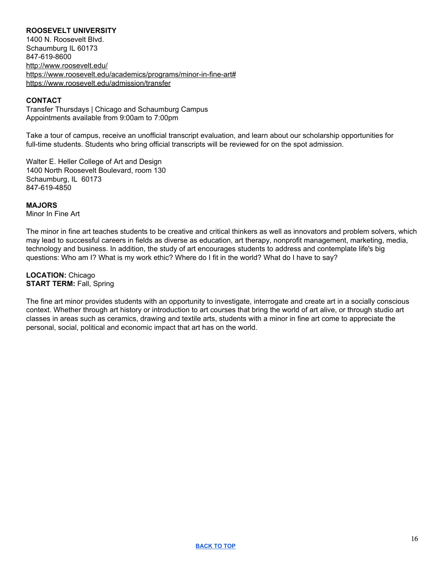## <span id="page-15-0"></span>**ROOSEVELT UNIVERSITY**

1400 N. Roosevelt Blvd. Schaumburg IL 60173 847-619-8600 <http://www.roosevelt.edu/> <https://www.roosevelt.edu/academics/programs/minor-in-fine-art#> <https://www.roosevelt.edu/admission/transfer>

#### **CONTACT**

Transfer Thursdays | Chicago and Schaumburg Campus Appointments available from 9:00am to 7:00pm

Take a tour of campus, receive an unofficial transcript evaluation, and learn about our scholarship opportunities for full-time students. Students who bring official transcripts will be reviewed for on the spot admission.

Walter E. Heller College of Art and Design 1400 North Roosevelt Boulevard, room 130 Schaumburg, IL 60173 847-619-4850

#### **MAJORS**

Minor In Fine Art

The minor in fine art teaches students to be creative and critical thinkers as well as innovators and problem solvers, which may lead to successful careers in fields as diverse as education, art therapy, nonprofit management, marketing, media, technology and business. In addition, the study of art encourages students to address and contemplate life's big questions: Who am I? What is my work ethic? Where do I fit in the world? What do I have to say?

**LOCATION:** Chicago **START TERM:** Fall, Spring

The fine art minor provides students with an opportunity to investigate, interrogate and create art in a socially conscious context. Whether through art history or introduction to art courses that bring the world of art alive, or through studio art classes in areas such as ceramics, drawing and textile arts, students with a minor in fine art come to appreciate the personal, social, political and economic impact that art has on the world.

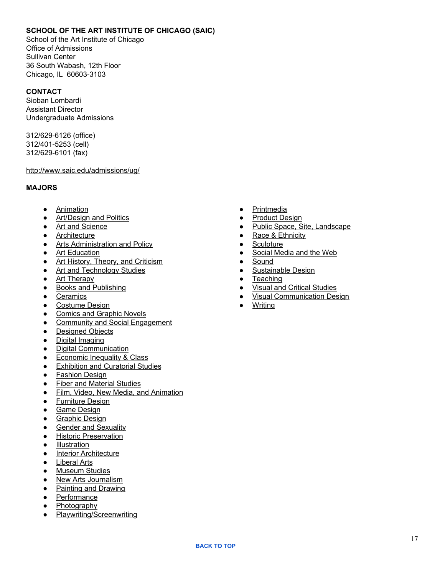# <span id="page-16-0"></span>**SCHOOL OF THE ART INSTITUTE OF CHICAGO (SAIC)**

School of the Art Institute of Chicago Office of Admissions Sullivan Center 36 South Wabash, 12th Floor Chicago, IL 60603-3103

## **CONTACT**

Sioban Lombardi Assistant Director Undergraduate Admissions

312/629-6126 (office) 312/401-5253 (cell) 312/629-6101 (fax)

#### [http://www.saic.edu/admissions/ug/](https://na01.safelinks.protection.outlook.com/?url=http%3A%2F%2Fwww.saic.edu%2Fadmissions%2Fug%2F&data=02%7C01%7Ccroderic%40harpercollege.edu%7Cd13b96062f58479c9c9e08d6913373c6%7C41791c41ffcb45e49c1d11a6b502a6d7%7C0%7C0%7C636856047515682279&sdata=f%2Bd98qRlIqFYlUmCMWh%2Fn3nLSMMM6Syks1cayIMWNjE%3D&reserved=0)

#### **MAJORS**

- [Animation](http://www.saic.edu/academics/areasofstudy/animation/)
- [Art/Design](http://www.saic.edu/academics/areasofstudy/artdesignandpolitics/) and Politics
- Art and [Science](http://www.saic.edu/academics/areasofstudy/artandscience/)
- [Architecture](http://www.saic.edu/academics/departments/aiado)
- Arts [Administration](http://www.saic.edu/academics/departments/arts-administration-and-policy) and Policy
- Art [Education](http://www.saic.edu/academics/departments/art-education)
- Art History, Theory, and [Criticism](http://www.saic.edu/academics/departments/art-history-theory-and-criticism)
- Art and [Technology](http://www.saic.edu/academics/departments/art-and-technology-studies/) Studies
- Art [Therapy](http://www.saic.edu/academics/departments/art-therapy)
- Books and [Publishing](http://www.saic.edu/academics/areasofstudy/booksandpublishing/)
- [Ceramics](http://www.saic.edu/academics/departments/ceramics)
- [Costume](http://saic.edu/academics/departments/fashion-design) Design
- Comics and [Graphic](http://www.saic.edu/academics/areasofstudy/comicsandgraphicnovels/) Novels
- Community and Social [Engagement](http://www.saic.edu/academics/areasofstudy/communityandsocialengagement/)
- [Designed](http://www.saic.edu/academics/departments/aiado) Objects
- Digital [Imaging](http://www.saic.edu/academics/areasofstudy/digitalimaging/)
- Digital [Communication](http://www.saic.edu/academics/departments/visual-communication-design)
- [Economic](http://www.saic.edu/academics/areasofstudy/economicinequalityclass/) Inequality & Class
- [Exhibition](http://www.saic.edu/academics/areasofstudy/exhibitionandcuratorialstudies/) and Curatorial Studies
- [Fashion](http://saic.edu/academics/departments/fashion-design) Design
- Fiber and [Material](http://www.saic.edu/academics/departments/fiber-and-material-studies) Studies
- Film, Video, New Media, and [Animation](http://saic.edu/academics/departments/fvnma/)
- [Furniture](http://www.saic.edu/academics/departments/aiado) Design
- Game [Design](http://www.saic.edu/academics/areasofstudy/gamedesign/)
- [Graphic](http://www.saic.edu/academics/departments/visual-communication-design) Design
- Gender and [Sexuality](http://www.saic.edu/academics/areasofstudy/gendersexuality/)
- Historic [Preservation](http://www.saic.edu/academics/departments/hpres)
- [Illustration](http://www.saic.edu/academics/areasofstudy/illustration/)
- Interior [Architecture](http://www.saic.edu/academics/departments/aiado)
- [Liberal](http://www.saic.edu/academics/departments/liberal-arts) Arts
- [Museum](http://www.saic.edu/academics/areasofstudy/museumstudies/) Studies
- New Arts [Journalism](http://www.saic.edu/academics/departments/new-arts-journalism)
- Painting and [Drawing](http://www.saic.edu/academics/departments/painting-and-drawing)
- [Performance](http://www.saic.edu/academics/departments/performance)
- [Photography](http://www.saic.edu/academics/departments/photography)
- [Playwriting/Screenwriting](http://www.saic.edu/academics/areasofstudy/playwritingscreenwriting/)
- [Printmedia](http://www.saic.edu/academics/departments/printmedia)
- [Product](http://www.saic.edu/academics/departments/aiado) Design
- Public Space, Site, [Landscape](http://www.saic.edu/academics/areasofstudy/publicspacesiteandlandscape/)
- Race & [Ethnicity](http://www.saic.edu/academics/areasofstudy/raceethnicity/)
- [Sculpture](http://saic.edu/academics/departments/sculpture)
- Social [Media](http://www.saic.edu/academics/areasofstudy/socialmediaandtheweb/) and the Web
- [Sound](http://www.saic.edu/academics/departments/sound)
- [Sustainable](http://www.saic.edu/academics/areasofstudy/sustainabledesign/) Design
- [Teaching](http://www.saic.edu/academics/departments/art-education)
- Visual and Critical [Studies](http://www.saic.edu/academics/departments/visual-and-critical-studies)
- Visual [Communication](http://www.saic.edu/academics/departments/visual-communication-design) Design
- [Writing](http://saic.edu/academics/departments/writing)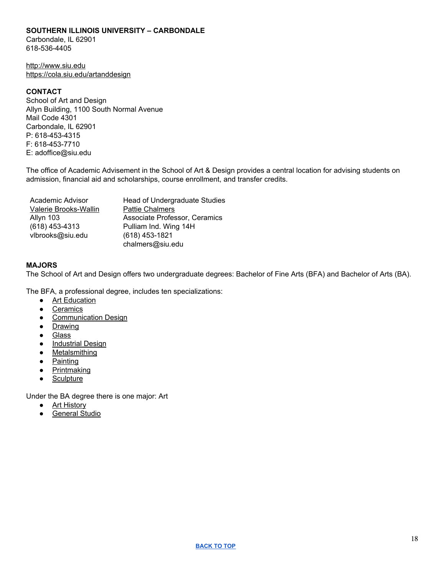#### <span id="page-17-0"></span>**SOUTHERN ILLINOIS UNIVERSITY – CARBONDALE**

Carbondale, IL 62901 618-536-4405

[http://www.siu.edu](http://www.siu.edu/) https://cola.siu.edu/artanddesign

#### **CONTACT**

School of Art and Design Allyn Building, 1100 South Normal Avenue Mail Code 4301 Carbondale, IL 62901 P: 618-453-4315 F: 618-453-7710 E: adoffice@siu.edu

The office of Academic Advisement in the School of Art & Design provides a central location for advising students on admission, financial aid and scholarships, course enrollment, and transfer credits.

| Academic Advisor      | Head of Undergraduate Studies |
|-----------------------|-------------------------------|
| Valerie Brooks-Wallin | <b>Pattie Chalmers</b>        |
| Allyn 103             | Associate Professor, Ceramics |
| (618) 453-4313        | Pulliam Ind. Wing 14H         |
| vlbrooks@siu.edu      | (618) 453-1821                |
|                       | chalmers@siu.edu              |

#### **MAJORS**

The School of Art and Design offers two undergraduate degrees: Bachelor of Fine Arts (BFA) and Bachelor of Arts (BA).

The BFA, a professional degree, includes ten specializations:

- Art [Education](https://cola.siu.edu/artanddesign/about-us/specializations/art-education/index.php)
- [Ceramics](https://cola.siu.edu/artanddesign/about-us/specializations/ceramics.php)
- [Communication](https://cola.siu.edu/artanddesign/about-us/specializations/comm-design.php) Design
- [Drawing](https://cola.siu.edu/artanddesign/about-us/specializations/drawing.php)
- [Glass](https://cola.siu.edu/artanddesign/about-us/specializations/glass.php)
- [Industrial](https://cola.siu.edu/artanddesign/about-us/specializations/industrial-design.php) Design
- [Metalsmithing](https://cola.siu.edu/artanddesign/about-us/specializations/metalsmithing.php)
- [Painting](https://cola.siu.edu/artanddesign/about-us/specializations/painting.php)
- [Printmaking](https://cola.siu.edu/artanddesign/about-us/specializations/printmaking.php)
- [Sculpture](https://cola.siu.edu/artanddesign/about-us/specializations/sculpture.php)

Under the BA degree there is one major: Art

- Art [History](https://cola.siu.edu/artanddesign/about-us/specializations/art-history.php)
- [General](https://cola.siu.edu/artanddesign/about-us/specializations/general-studio.php) Studio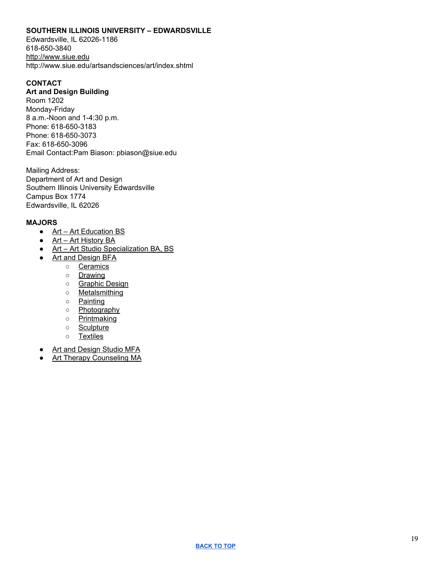#### <span id="page-18-0"></span>**SOUTHERN ILLINOIS UNIVERSITY – EDWARDSVILLE**

Edwardsville, IL 62026-1186 618-650-3840 [http://www.siue.edu](http://www.siue.edu/BUSINESS/advisement/HARPERCOLLEGE.html) http://www.siue.edu/artsandsciences/art/index.shtml

## **CONTACT**

#### **Art and Design Building**

Room 1202 Monday-Friday 8 a.m.-Noon and 1-4:30 p.m. Phone: 618-650-3183 Phone: 618-650-3073 Fax: 618-650-3096 Email Contact:Pam Biason: pbiason@siue.edu

Mailing Address: Department of Art and Design Southern Illinois University Edwardsville Campus Box 1774 Edwardsville, IL 62026

#### **MAJORS**

- Art Art [Education](http://www.siue.edu/academics/degrees-and-programs/undergraduate/art-education/) BS
- Art Art [History](http://www.siue.edu/academics/degrees-and-programs/undergraduate/art-history/) BA
- Art Art Studio [Specialization](http://www.siue.edu/academics/degrees-and-programs/undergraduate/art-studio/) BA, BS
- Art and [Design](http://www.siue.edu/academics/degrees-and-programs/undergraduate/art-design/) BFA
	- [Ceramics](http://www.siue.edu/artsandsciences/art/studios-and-disciplines/ceramics-and-glass/index.shtml)
	- [Drawing](http://www.siue.edu/artsandsciences/art/studios-and-disciplines/drawing/index.shtml)
	- o [Graphic](http://www.siue.edu/artsandsciences/art/studios-and-disciplines/graphic-design/index.shtml) Design
	- [Metalsmithing](http://www.siue.edu/artsandsciences/art/studios-and-disciplines/metalsmithing/index.shtml)
	- [Painting](http://www.siue.edu/artsandsciences/art/studios-and-disciplines/painting/index.shtml)
	- [Photography](http://www.siue.edu/artsandsciences/art/studios-and-disciplines/photography-and-digital-arts/index.shtml)
	- [Printmaking](http://www.siue.edu/artsandsciences/art/studios-and-disciplines/printmaking/index.shtml)
	- [Sculpture](http://www.siue.edu/artsandsciences/art/studios-and-disciplines/sculpture/index.shtml)
	- [Textiles](http://www.siue.edu/artsandsciences/art/studios-and-disciplines/textiles/index.shtml)
- Art and [Design](http://www.siue.edu/academics/degrees-and-programs/graduate/art-studio/) Studio MFA
- **Art Therapy [Counseling](http://www.siue.edu/academics/degrees-and-programs/graduate/art-therapy/) MA**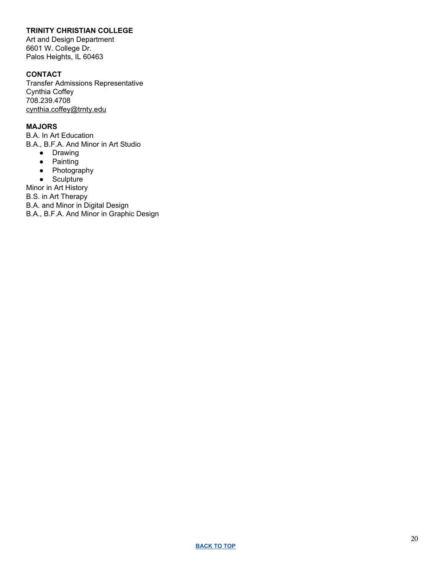# <span id="page-19-0"></span>**TRINITY CHRISTIAN COLLEGE**

Art and Design Department 6601 W. College Dr. Palos Heights, IL 60463

# **CONTACT**

Transfer Admissions Representative Cynthia Coffey 708.239.4708 [cynthia.coffey@trnty.edu](mailto:cynthia.coffey@trnty.edu)

# **MAJORS**

B.A. In Art Education B.A., B.F.A. And Minor in Art Studio

- Drawing
- Painting
- Photography
- Sculpture

Minor in Art History

B.S. in Art Therapy

B.A. and Minor in Digital Design

B.A., B.F.A. And Minor in Graphic Design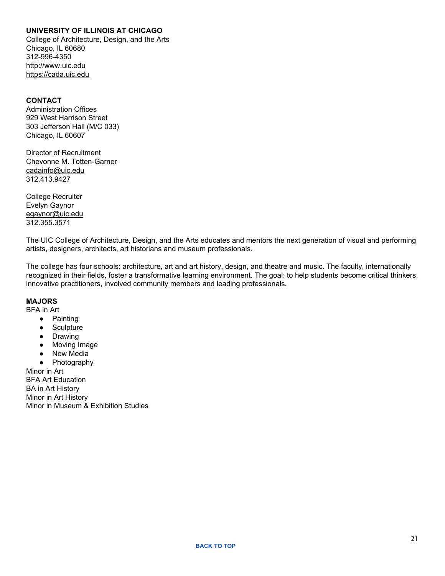## <span id="page-20-0"></span>**UNIVERSITY OF ILLINOIS AT CHICAGO**

College of Architecture, Design, and the Arts Chicago, IL 60680 312-996-4350 [http://www.uic.edu](http://www.uic.edu/) https://cada.uic.edu

#### **CONTACT**

Administration Offices 929 West Harrison Street 303 Jefferson Hall (M/C 033) Chicago, IL 60607

Director of Recruitment Chevonne M. Totten-Garner [cadainfo@uic.edu](mailto:cadainfo@uic.edu) 312.413.9427

College Recruiter Evelyn Gaynor [egaynor@uic.edu](mailto:egaynor@uic.edu) 312.355.3571

The UIC College of Architecture, Design, and the Arts educates and mentors the next generation of visual and performing artists, designers, architects, art historians and museum professionals.

The college has four schools: architecture, art and art history, design, and theatre and music. The faculty, internationally recognized in their fields, foster a transformative learning environment. The goal: to help students become critical thinkers, innovative practitioners, involved community members and leading professionals.

#### **MAJORS**

BFA in Art

- Painting
- Sculpture
- Drawing
- Moving Image
- New Media
- Photography

Minor in Art BFA Art Education BA in Art History Minor in Art History Minor in Museum & Exhibition Studies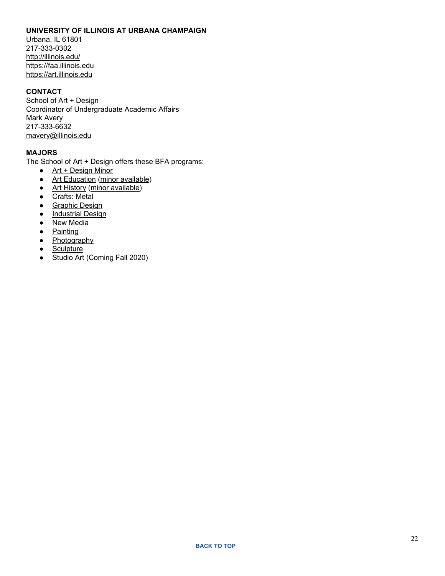### <span id="page-21-0"></span>**UNIVERSITY OF ILLINOIS AT URBANA CHAMPAIGN**

Urbana, IL 61801 217-333-0302 <http://illinois.edu/> [https://faa.illinois.edu](https://faa.illinois.edu/) [https://art.illinois.edu](https://art.illinois.edu/)

# **CONTACT**

School of Art + Design Coordinator of Undergraduate Academic Affairs Mark Avery 217-333-6632 [mavery@illinois.edu](mailto:mavery@illinois.edu)

# **MAJORS**

The School of Art + Design offers these BFA programs:

- Art + [Design](https://art.illinois.edu/index.php/prospective/academics/undergraduate-programs/art-design-minor) Minor
- Art [Education](https://art.illinois.edu/index.php/prospective/academics/undergraduate-programs/art-education) (minor [available\)](https://art.illinois.edu/index.php/prospective/academics/undergraduate-programs/art-education-minor)
- Art [History](https://art.illinois.edu/index.php/prospective/academics/undergraduate-programs/art-history) (minor [available\)](https://art.illinois.edu/index.php/prospective/academics/undergraduate-programs/art-history-minor)
- Crafts: [Metal](https://art.illinois.edu/index.php/prospective/academics/undergraduate-programs/crafts)
- [Graphic](https://art.illinois.edu/index.php/prospective/academics/undergraduate-programs/graphic-design) Design
- [Industrial](https://art.illinois.edu/index.php/prospective/academics/undergraduate-programs/industrial-design) Design
- New [Media](https://art.illinois.edu/index.php/prospective/academics/undergraduate-programs/new-media)
- [Painting](https://art.illinois.edu/index.php/prospective/academics/undergraduate-programs/painting)
- [Photography](https://art.illinois.edu/index.php/prospective/academics/undergraduate-programs/photography)
- [Sculpture](https://art.illinois.edu/index.php/prospective/academics/undergraduate-programs/sculpture)
- [Studio](http://catalog.illinois.edu/undergraduate/faa/academic-units/school-art-design/studioart/) Art (Coming Fall 2020)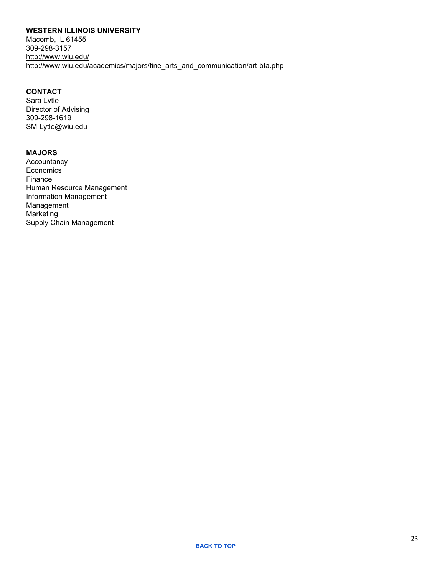# <span id="page-22-0"></span>**WESTERN ILLINOIS UNIVERSITY**

Macomb, IL 61455 309-298-3157 <http://www.wiu.edu/> [http://www.wiu.edu/academics/majors/fine\\_arts\\_and\\_communication/art-bfa.php](http://www.wiu.edu/academics/majors/fine_arts_and_communication/art-bfa.php)

# **CONTACT**

Sara Lytle Director of Advising 309-298-1619 [SM-Lytle@wiu.edu](mailto:SM-Lytle@wiu.edu)

## **MAJORS**

Accountancy **Economics** Finance Human Resource Management Information Management Management Marketing Supply Chain Management

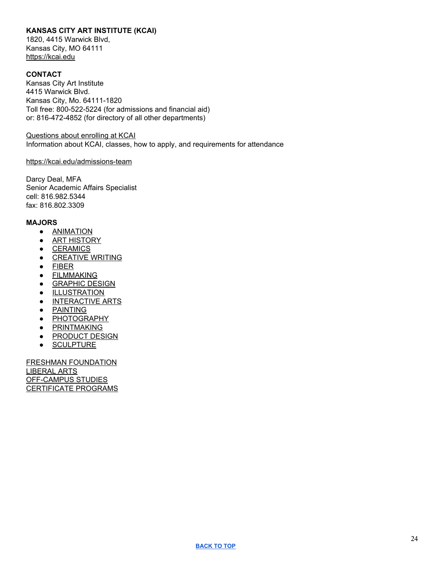# <span id="page-23-0"></span>**KANSAS CITY ART INSTITUTE (KCAI)**

1820, 4415 Warwick Blvd, Kansas City, MO 64111 [https://kcai.edu](https://kcai.edu/)

## **CONTACT**

Kansas City Art Institute 4415 Warwick Blvd. Kansas City, Mo. 64111-1820 Toll free: 800-522-5224 (for admissions and financial aid) or: 816-472-4852 (for directory of all other departments)

[Questions](https://apply.kcai.edu/register/inquiry) about enrolling at KCAI Information about KCAI, classes, how to apply, and requirements for attendance

#### <https://kcai.edu/admissions-team>

Darcy Deal, MFA Senior Academic Affairs Specialist cell: 816.982.5344 fax: 816.802.3309

#### **MAJORS**

- [ANIMATION](https://kcai.edu/academics/majors/animation/)
- **•** ART [HISTORY](https://kcai.edu/academics/majors/art-history/)
- [CERAMICS](https://kcai.edu/academics/majors/ceramics/)
- [CREATIVE](https://kcai.edu/academics/majors/creative-writing/) WRITING
- [FIBER](https://kcai.edu/academics/majors/fiber/)
- **•** [FILMMAKING](https://kcai.edu/academics/majors/filmmaking/)
- **[GRAPHIC](https://kcai.edu/academics/majors/graphic-design/) DESIGN**
- **•** [ILLUSTRATION](https://kcai.edu/academics/majors/illustration/)
- [INTERACTIVE](https://kcai.edu/academics/majors/interactive-arts/) ARTS
- [PAINTING](https://kcai.edu/academics/majors/painting/)
- [PHOTOGRAPHY](https://kcai.edu/academics/majors/photography/)
- **•** [PRINTMAKING](https://kcai.edu/academics/majors/printmaking/)
- **[PRODUCT](https://kcai.edu/academics/majors/product-design/) DESIGN**
- [SCULPTURE](https://kcai.edu/academics/majors/sculpture/)

FRESHMAN [FOUNDATION](https://kcai.edu/academics/foundation/) [LIBERAL](https://kcai.edu/academics/majors/liberal-arts/) ARTS [OFF-CAMPUS](https://kcai.edu/academics/offcampus-studies/) STUDIES [CERTIFICATE](https://kcai.edu/academics/certifications/) PROGRAMS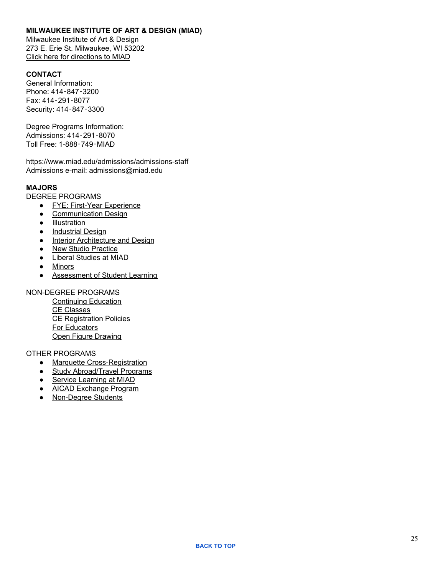## <span id="page-24-0"></span>**MILWAUKEE INSTITUTE OF ART & DESIGN (MIAD)**

Milwaukee Institute of Art & Design 273 E. Erie St. Milwaukee, WI 53202 Click here for [directions](https://www.miad.edu/about-miad/welcome/directions-to-campus) to MIAD

# **CONTACT**

General Information: Phone: 414‑847‑3200 Fax: 414‑291‑8077 Security: 414‑847‑3300

Degree Programs Information: Admissions: 414‑291‑8070 Toll Free: 1-888‑749‑MIAD

<https://www.miad.edu/admissions/admissions-staff> Admissions e-mail: admissions@miad.edu

# **MAJORS**

DEGREE PROGRAMS

- FYE: First-Year [Experience](https://www.miad.edu/academic-programs/degree-programs/fye)
- [Communication](https://www.miad.edu/academic-programs/degree-programs/communication-design) Design
- [Illustration](https://www.miad.edu/academic-programs/degree-programs/illustration)
- [Industrial](https://www.miad.edu/academic-programs/degree-programs/industrial-design) Design
- Interior [Architecture](https://www.miad.edu/academic-programs/degree-programs/interior-architecture-design) and Design
- New Studio [Practice](https://www.miad.edu/academic-programs/degree-programs/new-studio-practice)
- Liberal [Studies](https://www.miad.edu/academic-programs/degree-programs/liberal-studies) at MIAD
- [Minors](https://www.miad.edu/academic-programs/degree-programs/minors)
- [Assessment](https://www.miad.edu/academic-programs/other-degree-programs/assessment-of-student-learning) of Student Learning

## NON-DEGREE PROGRAMS

[Continuing](https://www.miad.edu/academic-programs/non-degree-programs/continuing-education) Education CE [Classes](https://www.miad.edu/academic-programs/non-degree-programs/continuing-education) CE [Registration](https://www.miad.edu/academic-programs/non-degree-programs/ce-registration-policies) Policies For [Educators](https://www.miad.edu/academic-programs/non-degree-programs/for-educators) Open Figure [Drawing](https://www.miad.edu/academic-programs/non-degree-programs/open-figure-drawing)

#### OTHER PROGRAMS

- Marquette [Cross-Registration](https://www.miad.edu/college-services/academic-services/marquette-cross-registration)
- Study [Abroad/Travel](https://www.miad.edu/academic-programs/other-degree-programs/study-abroad-programs) Programs
- Service [Learning](http://blogs.miad.edu/service/) at MIAD
- AICAD [Exchange](https://www.miad.edu/academic-programs/other-degree-programs/aicad-exhange-program) Program
- [Non-Degree](https://www.miad.edu/academic-programs/other-degree-programs/non-degree-students) Students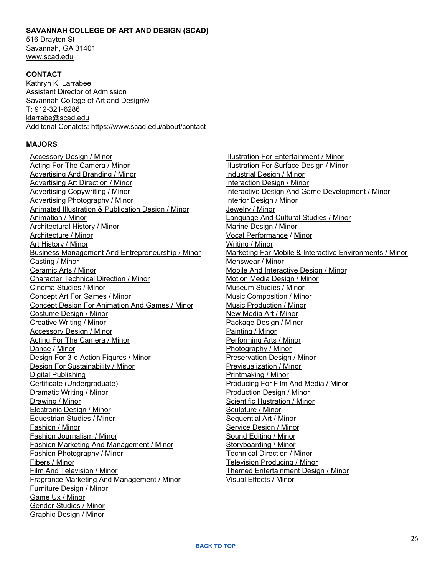#### <span id="page-25-0"></span>**SAVANNAH COLLEGE OF ART AND DESIGN (SCAD)**

516 Drayton St Savannah, GA 31401 [www.scad.edu](http://www.scad.edu/)

#### **CONTACT**

Kathryn K. Larrabee Assistant Director of Admission Savannah College of Art and Design® T: 912-321-6286 [klarrabe@scad.edu](mailto:klarrabe@scad.edu) Additonal Conatcts: https://www.scad.edu/about/contact

#### **MAJORS**

[Accessory](https://www.scad.edu/academics/minors-and-certificates/accessory-design-minor) Design / Minor Acting For The [Camera](https://www.scad.edu/academics/minors-and-certificates/acting-for-the-camera-minor) / Minor [Advertising](https://www.scad.edu/academics/minors-and-certificates/advertising-and-branding-minor) And Branding / Minor [Advertising](https://www.scad.edu/academics/minors-and-certificates/advertising-art-direction-minor) Art Direction / Minor Advertising [Copywriting](https://www.scad.edu/academics/minors-and-certificates/advertising-copywriting-minor) / Minor Advertising [Photography](https://www.scad.edu/academics/minors-and-certificates/advertising-photography-minor) / Minor Animated Illustration & [Publication](https://www.scad.edu/academics/minors-and-certificates/animated-illustration-and-publication-design-minor) Design / Minor [Animation](https://www.scad.edu/academics/minors-and-certificates/animation-minor) / Minor [Architectural](https://www.scad.edu/academics/minors-and-certificates/architectural-history-minor) History / Minor [Architecture](https://www.scad.edu/academics/minors-and-certificates/architecture-minor) / Minor Art [History](https://www.scad.edu/academics/minors-and-certificates/art-history-minor) / Minor Business Management And [Entrepreneurship](https://www.scad.edu/academics/minors-and-certificates/business-management-and-entrepreneurship-minor) / Minor [Casting](https://www.scad.edu/academics/minors-and-certificates/casting-minor) / Minor [Ceramic](https://www.scad.edu/academics/minors-and-certificates/ceramic-arts-minor) Arts / Minor [Character](https://www.scad.edu/academics/minors-and-certificates/character-technical-direction-minor) Technical Direction / Minor [Cinema](https://www.scad.edu/academics/minors-and-certificates/cinema-studies-minor) Studies / Minor [Concept](https://www.scad.edu/academics/minors-and-certificates/concept-art-games-minor) Art For Games / Minor Concept Design For [Animation](https://www.scad.edu/academics/minors-and-certificates/concept-design-animation-and-games) And Games / Minor [Costume](https://www.scad.edu/academics/minors-and-certificates/costume-design-minor) Design / Minor [Creative](https://www.scad.edu/academics/minors-and-certificates/creative-writing-minor) Writing / Minor [Accessory](https://www.scad.edu/academics/minors-and-certificates/accessory-design-minor) Design / Minor Acting For The [Camera](https://www.scad.edu/academics/minors-and-certificates/acting-for-the-camera-minor) / Minor [Dance](https://www.scad.edu/academics/minors-and-certificates/dance-minor) [/](https://www.scad.edu/academics/minors-and-certificates/dance-minor) [Minor](https://www.scad.edu/academics/minors-and-certificates/dance-minor) Design For 3-d Action [Figures](https://www.scad.edu/academics/minors-and-certificates/design-for-3-D-action-figures-minor) / Minor Design For [Sustainability](https://www.scad.edu/academics/minors-and-certificates/design-sustainability-minor) / Minor Digital [Publishing](https://www.scad.edu/academics/minors-and-certificates/digital-publishing-certificate) Certificate [\(Undergraduate\)](https://www.scad.edu/academics/minors-and-certificates/digital-publishing-certificate) [Dramatic](https://www.scad.edu/academics/minors-and-certificates/dramatic-writing-minor) Writing / Minor [Drawing](https://www.scad.edu/academics/minors-and-certificates/drawing-minor) / Minor [Electronic](https://www.scad.edu/academics/minors-and-certificates/electronic-design-minor) Design / Minor [Equestrian](https://www.scad.edu/academics/minors-and-certificates/equestrian-studies-minor) Studies / Minor [Fashion](https://www.scad.edu/academics/minors-and-certificates/fashion-minor) / Minor Fashion [Journalism](https://www.scad.edu/academics/minors-and-certificates/fashion-journalism-minor) / Minor Fashion Marketing And [Management](https://www.scad.edu/academics/minors-and-certificates/fashion-marketing-and-management-minor) / Minor Fashion [Photography](https://www.scad.edu/academics/minors-and-certificates/fashion-photography-minor) / Minor [Fibers](https://www.scad.edu/academics/minors-and-certificates/fibers-minor) / Minor Film And [Television](https://www.scad.edu/academics/minors-and-certificates/film-and-television-minor) / Minor Fragrance Marketing And [Management](https://www.scad.edu/academics/minors-and-certificates/fragrance-marketing-and-management-minor) / Minor [Furniture](https://www.scad.edu/academics/minors-and-certificates/furniture-design-minor) Design / Minor [Game](https://www.scad.edu/academics/minors-and-certificates/game-ux-minor) Ux / Minor Gender [Studies](https://www.scad.edu/academics/minors-and-certificates/gender-studies-minor) / Minor [Graphic](https://www.scad.edu/academics/minors-and-certificates/graphic-design-minor) Design / Minor

Illustration For [Entertainment](https://www.scad.edu/academics/minors-and-certificates/illustration-entertainment-minor) / Minor [Illustration](https://www.scad.edu/academics/minors-and-certificates/illustration-surface-design-minor) For Surface Design / Minor [Industrial](https://www.scad.edu/academics/minors-and-certificates/industrial-design-minor) Design / Minor [Interaction](https://www.scad.edu/academics/minors-and-certificates/interaction-design-minor) Design / Minor Interactive Design And Game [Development](https://www.scad.edu/academics/minors-and-certificates/interactive-design-and-game-development-minor) / Minor Interior [Design](https://www.scad.edu/academics/minors-and-certificates/interior-design-minor) / Minor [Jewelry](https://www.scad.edu/academics/minors-and-certificates/jewelry-minor) / Minor [Language](https://www.scad.edu/academics/minors-and-certificates/language-and-cultural-studies-minor) And Cultural Studies / Minor Marine [Design](https://www.scad.edu/academics/minors-and-certificates/marine-design-minor) / Minor Vocal [Performance](https://www.scad.edu/academics/minors-and-certificates/vocal-performance-minor) [/](https://www.scad.edu/academics/minors-and-certificates/vocal-performance-minor) [Minor](https://www.scad.edu/academics/minors-and-certificates/vocal-performance-minor) [Writing](https://www.scad.edu/academics/minors-and-certificates/writing-minor) / Minor Marketing For Mobile & Interactive [Environments](https://www.scad.edu/academics/minors-and-certificates/marketing-mobile-and-interactive-environments-minor) / Minor [Menswear](https://www.scad.edu/academics/minors-and-certificates/menswear-minor) / Minor Mobile And [Interactive](https://www.scad.edu/academics/minors-and-certificates/mobile-and-interactive-design-minor) Design / Minor Motion Media [Design](https://www.scad.edu/academics/minors-and-certificates/motion-media-design-minor) / Minor [Museum](https://www.scad.edu/academics/minors-and-certificates/museum-studies-minor) Studies / Minor Music [Composition](https://www.scad.edu/academics/minors-and-certificates/music-composition-minor) / Minor Music [Production](https://www.scad.edu/academics/minors-and-certificates/music-production-minor) / Minor New [Media](https://www.scad.edu/academics/minors-and-certificates/new-media-art-minor) Art / Minor [Package](https://www.scad.edu/academics/minors-and-certificates/package-design-minor) Design / Minor [Painting](https://www.scad.edu/academics/minors-and-certificates/painting-minor) / Minor [Performing](https://www.scad.edu/academics/minors-and-certificates/performing-arts-minor) Arts / Minor [Photography](https://www.scad.edu/academics/minors-and-certificates/photography-minor) / Minor [Preservation](https://www.scad.edu/academics/minors-and-certificates/preservation-design-minor) Design / Minor [Previsualization](https://www.scad.edu/academics/minors-and-certificates/previsualization-minor) / Minor [Printmaking](https://www.scad.edu/academics/minors-and-certificates/printmaking-minor) / Minor [Producing](https://www.scad.edu/academics/minors-and-certificates/producing-film-media-minor) For Film And Media / Minor [Production](https://www.scad.edu/academics/minors-and-certificates/production-design-minor) Design / Minor Scientific [Illustration](https://www.scad.edu/academics/minors-and-certificates/scientific-illustration-minor) / Minor [Sculpture](https://www.scad.edu/academics/minors-and-certificates/sculpture-minor) / Minor [Sequential](https://www.scad.edu/academics/minors-and-certificates/sequential-art-minor) Art / Minor [Service](https://www.scad.edu/academics/minors-and-certificates/service-design-minor) Design / Minor Sound [Editing](https://www.scad.edu/academics/minors-and-certificates/sound-editing-minor) / Minor [Storyboarding](https://www.scad.edu/academics/minors-and-certificates/storyboarding-minor) / Minor [Technical](https://www.scad.edu/academics/minors-and-certificates/technical-direction-minor) Direction / Minor Television [Producing](https://www.scad.edu/academics/minors-and-certificates/television-producing-minor) / Minor Themed [Entertainment](https://www.scad.edu/academics/minors-and-certificates/themed-entertainment-design-minor) Design / Minor Visual [Effects](https://www.scad.edu/academics/minors-and-certificates/visual-effects-minor) / Minor